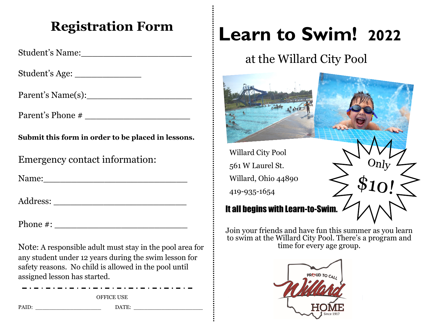## **Registration Form**

Student's Name:\_\_\_\_\_\_\_\_\_\_\_\_\_\_\_\_\_\_\_\_

Student's Age: \_\_\_\_\_\_\_\_\_\_\_\_

Parent's Name(s):\_\_\_\_\_\_\_\_\_\_\_\_\_\_\_\_\_\_\_

Parent's Phone # \_\_\_\_\_\_\_\_\_\_\_\_\_\_\_\_\_\_\_

**Submit this form in order to be placed in lessons.**

Emergency contact information:

Name:\_\_\_\_\_\_\_\_\_\_\_\_\_\_\_\_\_\_\_\_\_\_\_\_\_\_

Address: \_\_\_\_\_\_\_\_\_\_\_\_\_\_\_\_\_\_\_\_\_\_\_\_

Phone #: \_\_\_\_\_\_\_\_\_\_\_\_\_\_\_\_\_\_\_\_\_\_\_\_

Note: A responsible adult must stay in the pool area for any student under 12 years during the swim lesson for safety reasons. No child is allowed in the pool until assigned lesson has started.

OFFICE USE PAID: \_\_\_\_\_\_\_\_\_\_\_\_\_\_\_\_\_\_\_ DATE: \_\_\_\_\_\_\_\_\_\_\_\_\_\_\_\_\_\_\_\_

# **Learn to Swim! 2022**

# at the Willard City Pool



Willard City Pool 561 W Laurel St. Willard, Ohio 44890 419-935-1654

## It all begins with Learn-to-Swim.

Join your friends and have fun this summer as you learn to swim at the Willard City Pool. There's a program and time for every age group.